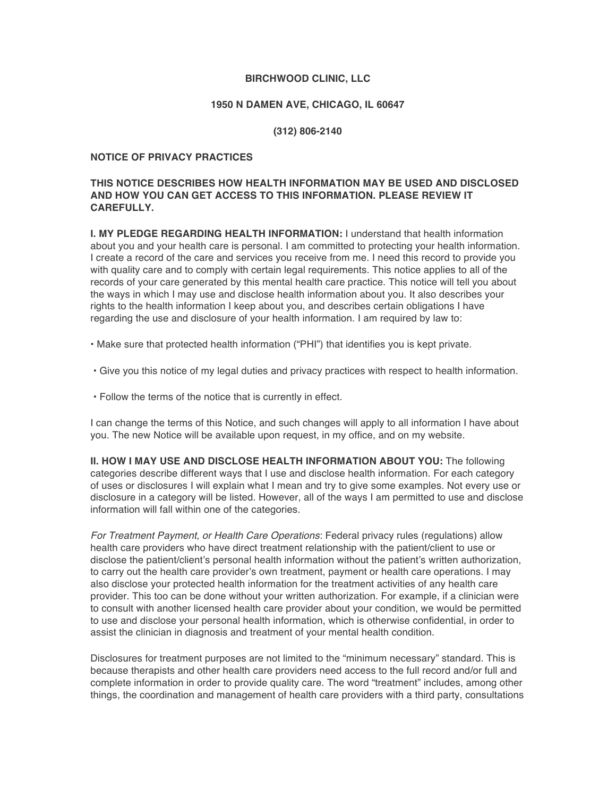### **BIRCHWOOD CLINIC, LLC**

#### **1950 N DAMEN AVE, CHICAGO, IL 60647**

#### **(312) 806-2140**

#### **NOTICE OF PRIVACY PRACTICES**

# **THIS NOTICE DESCRIBES HOW HEALTH INFORMATION MAY BE USED AND DISCLOSED AND HOW YOU CAN GET ACCESS TO THIS INFORMATION. PLEASE REVIEW IT CAREFULLY.**

**I. MY PLEDGE REGARDING HEALTH INFORMATION:** I understand that health information about you and your health care is personal. I am committed to protecting your health information. I create a record of the care and services you receive from me. I need this record to provide you with quality care and to comply with certain legal requirements. This notice applies to all of the records of your care generated by this mental health care practice. This notice will tell you about the ways in which I may use and disclose health information about you. It also describes your rights to the health information I keep about you, and describes certain obligations I have regarding the use and disclosure of your health information. I am required by law to:

• Make sure that protected health information ("PHI") that identifies you is kept private.

- Give you this notice of my legal duties and privacy practices with respect to health information.
- Follow the terms of the notice that is currently in effect.

I can change the terms of this Notice, and such changes will apply to all information I have about you. The new Notice will be available upon request, in my office, and on my website.

**II. HOW I MAY USE AND DISCLOSE HEALTH INFORMATION ABOUT YOU:** The following categories describe different ways that I use and disclose health information. For each category of uses or disclosures I will explain what I mean and try to give some examples. Not every use or disclosure in a category will be listed. However, all of the ways I am permitted to use and disclose information will fall within one of the categories.

*For Treatment Payment, or Health Care Operations*: Federal privacy rules (regulations) allow health care providers who have direct treatment relationship with the patient/client to use or disclose the patient/client's personal health information without the patient's written authorization, to carry out the health care provider's own treatment, payment or health care operations. I may also disclose your protected health information for the treatment activities of any health care provider. This too can be done without your written authorization. For example, if a clinician were to consult with another licensed health care provider about your condition, we would be permitted to use and disclose your personal health information, which is otherwise confidential, in order to assist the clinician in diagnosis and treatment of your mental health condition.

Disclosures for treatment purposes are not limited to the "minimum necessary" standard. This is because therapists and other health care providers need access to the full record and/or full and complete information in order to provide quality care. The word "treatment" includes, among other things, the coordination and management of health care providers with a third party, consultations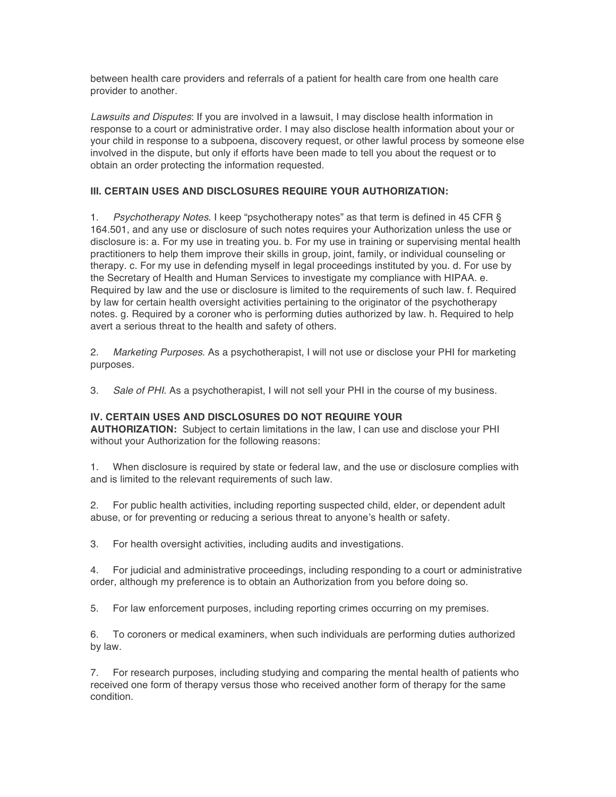between health care providers and referrals of a patient for health care from one health care provider to another.

*Lawsuits and Disputes*: If you are involved in a lawsuit, I may disclose health information in response to a court or administrative order. I may also disclose health information about your or your child in response to a subpoena, discovery request, or other lawful process by someone else involved in the dispute, but only if efforts have been made to tell you about the request or to obtain an order protecting the information requested.

# **III. CERTAIN USES AND DISCLOSURES REQUIRE YOUR AUTHORIZATION:**

1. *Psychotherapy Notes*. I keep "psychotherapy notes" as that term is defined in 45 CFR § 164.501, and any use or disclosure of such notes requires your Authorization unless the use or disclosure is: a. For my use in treating you. b. For my use in training or supervising mental health practitioners to help them improve their skills in group, joint, family, or individual counseling or therapy. c. For my use in defending myself in legal proceedings instituted by you. d. For use by the Secretary of Health and Human Services to investigate my compliance with HIPAA. e. Required by law and the use or disclosure is limited to the requirements of such law. f. Required by law for certain health oversight activities pertaining to the originator of the psychotherapy notes. g. Required by a coroner who is performing duties authorized by law. h. Required to help avert a serious threat to the health and safety of others.

2. *Marketing Purposes*. As a psychotherapist, I will not use or disclose your PHI for marketing purposes.

3. *Sale of PHI*. As a psychotherapist, I will not sell your PHI in the course of my business.

# **IV. CERTAIN USES AND DISCLOSURES DO NOT REQUIRE YOUR**

**AUTHORIZATION:** Subject to certain limitations in the law, I can use and disclose your PHI without your Authorization for the following reasons:

1. When disclosure is required by state or federal law, and the use or disclosure complies with and is limited to the relevant requirements of such law.

2. For public health activities, including reporting suspected child, elder, or dependent adult abuse, or for preventing or reducing a serious threat to anyone's health or safety.

3. For health oversight activities, including audits and investigations.

4. For judicial and administrative proceedings, including responding to a court or administrative order, although my preference is to obtain an Authorization from you before doing so.

5. For law enforcement purposes, including reporting crimes occurring on my premises.

6. To coroners or medical examiners, when such individuals are performing duties authorized by law.

7. For research purposes, including studying and comparing the mental health of patients who received one form of therapy versus those who received another form of therapy for the same condition.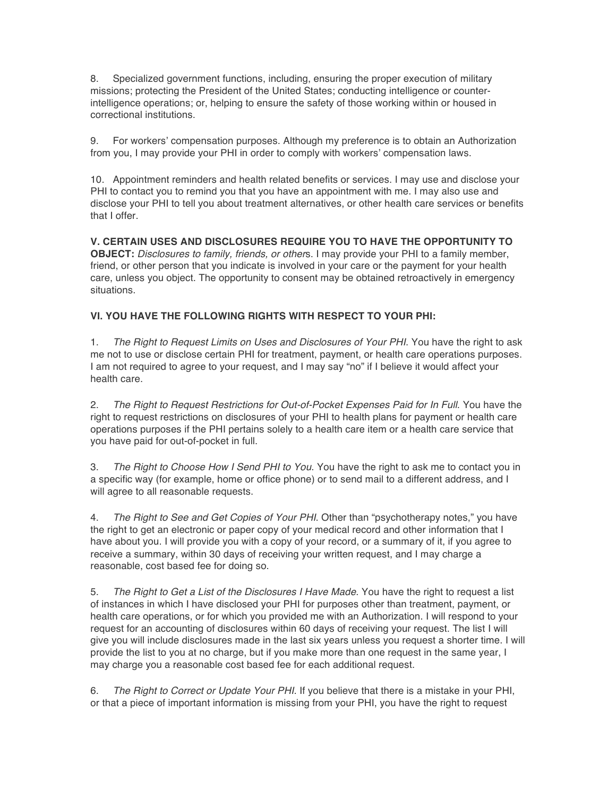8. Specialized government functions, including, ensuring the proper execution of military missions; protecting the President of the United States; conducting intelligence or counterintelligence operations; or, helping to ensure the safety of those working within or housed in correctional institutions.

9. For workers' compensation purposes. Although my preference is to obtain an Authorization from you, I may provide your PHI in order to comply with workers' compensation laws.

10. Appointment reminders and health related benefits or services. I may use and disclose your PHI to contact you to remind you that you have an appointment with me. I may also use and disclose your PHI to tell you about treatment alternatives, or other health care services or benefits that I offer.

**V. CERTAIN USES AND DISCLOSURES REQUIRE YOU TO HAVE THE OPPORTUNITY TO OBJECT:** *Disclosures to family, friends, or other*s. I may provide your PHI to a family member, friend, or other person that you indicate is involved in your care or the payment for your health care, unless you object. The opportunity to consent may be obtained retroactively in emergency situations.

# **VI. YOU HAVE THE FOLLOWING RIGHTS WITH RESPECT TO YOUR PHI:**

1. *The Right to Request Limits on Uses and Disclosures of Your PHI*. You have the right to ask me not to use or disclose certain PHI for treatment, payment, or health care operations purposes. I am not required to agree to your request, and I may say "no" if I believe it would affect your health care.

2. *The Right to Request Restrictions for Out-of-Pocket Expenses Paid for In Full*. You have the right to request restrictions on disclosures of your PHI to health plans for payment or health care operations purposes if the PHI pertains solely to a health care item or a health care service that you have paid for out-of-pocket in full.

3. *The Right to Choose How I Send PHI to You*. You have the right to ask me to contact you in a specific way (for example, home or office phone) or to send mail to a different address, and I will agree to all reasonable requests.

4. *The Right to See and Get Copies of Your PHI*. Other than "psychotherapy notes," you have the right to get an electronic or paper copy of your medical record and other information that I have about you. I will provide you with a copy of your record, or a summary of it, if you agree to receive a summary, within 30 days of receiving your written request, and I may charge a reasonable, cost based fee for doing so.

5. *The Right to Get a List of the Disclosures I Have Made*. You have the right to request a list of instances in which I have disclosed your PHI for purposes other than treatment, payment, or health care operations, or for which you provided me with an Authorization. I will respond to your request for an accounting of disclosures within 60 days of receiving your request. The list I will give you will include disclosures made in the last six years unless you request a shorter time. I will provide the list to you at no charge, but if you make more than one request in the same year, I may charge you a reasonable cost based fee for each additional request.

6. *The Right to Correct or Update Your PHI*. If you believe that there is a mistake in your PHI, or that a piece of important information is missing from your PHI, you have the right to request